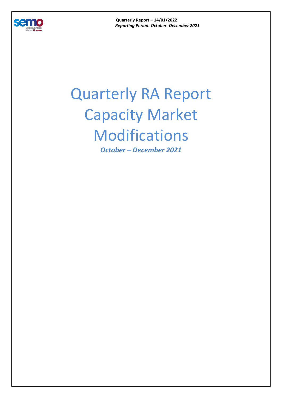

**Quarterly Report – 14/01/2022**  *Reporting Period: October -December 2021* 

## Quarterly RA Report Capacity Market Modifications

*October – December 2021*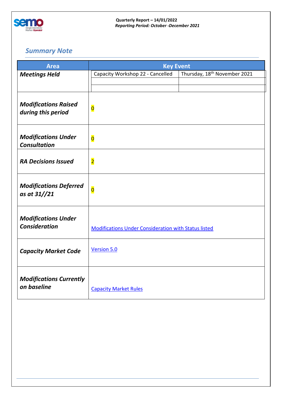

**Quarterly Report – 14/01/2022**  *Reporting Period: October -December 2021* 

## *Summary Note*

| <b>Area</b>                                        | <b>Key Event</b>                                            |                                          |
|----------------------------------------------------|-------------------------------------------------------------|------------------------------------------|
| <b>Meetings Held</b>                               | Capacity Workshop 22 - Cancelled                            | Thursday, 18 <sup>th</sup> November 2021 |
|                                                    |                                                             |                                          |
| <b>Modifications Raised</b><br>during this period  | $\overline{\mathbf{O}}$                                     |                                          |
| <b>Modifications Under</b><br><b>Consultation</b>  | $\overline{\mathbf{0}}$                                     |                                          |
| <b>RA Decisions Issued</b>                         | $\overline{\mathbf{2}}$                                     |                                          |
| <b>Modifications Deferred</b><br>as at 31//21      | $\overline{\mathbf{0}}$                                     |                                          |
| <b>Modifications Under</b><br><b>Consideration</b> | <b>Modifications Under Consideration with Status listed</b> |                                          |
| <b>Capacity Market Code</b>                        | Version 5.0                                                 |                                          |
| <b>Modifications Currently</b><br>on baseline      | <b>Capacity Market Rules</b>                                |                                          |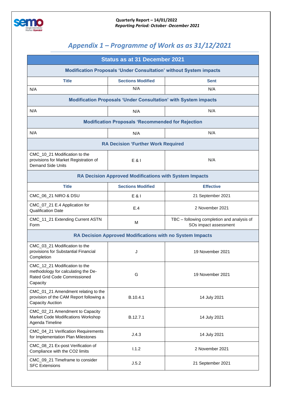

## *Appendix 1 – Programme of Work as as 31/12/2021*

|                                                                                                                  | <b>Status as at 31 December 2021</b> |                                                                     |  |  |  |
|------------------------------------------------------------------------------------------------------------------|--------------------------------------|---------------------------------------------------------------------|--|--|--|
| <b>Modification Proposals 'Under Consultation' without System impacts</b>                                        |                                      |                                                                     |  |  |  |
| <b>Title</b>                                                                                                     | <b>Sections Modified</b>             | Sent                                                                |  |  |  |
| N/A                                                                                                              | N/A                                  | N/A                                                                 |  |  |  |
| <b>Modification Proposals 'Under Consultation' with System impacts</b>                                           |                                      |                                                                     |  |  |  |
| N/A                                                                                                              | N/A                                  | N/A                                                                 |  |  |  |
| <b>Modification Proposals 'Recommended for Rejection</b>                                                         |                                      |                                                                     |  |  |  |
| N/A                                                                                                              | N/A                                  | N/A                                                                 |  |  |  |
| <b>RA Decision 'Further Work Required</b>                                                                        |                                      |                                                                     |  |  |  |
| CMC_10_21 Modification to the<br>provisions for Market Registration of<br><b>Demand Side Units</b>               | E 81                                 | N/A                                                                 |  |  |  |
| RA Decision Approved Modifications with System Impacts                                                           |                                      |                                                                     |  |  |  |
| <b>Title</b>                                                                                                     | <b>Sections Modified</b>             | <b>Effective</b>                                                    |  |  |  |
| CMC_06_21 NIRO & DSU                                                                                             | $E$ & I                              | 21 September 2021                                                   |  |  |  |
| CMC_07_21 E.4 Application for<br><b>Qualification Date</b>                                                       | E.4                                  | 2 November 2021                                                     |  |  |  |
| CMC_11_21 Extending Current ASTN<br>Form                                                                         | M                                    | TBC - following completion and analysis of<br>SOs impact assessment |  |  |  |
| RA Decision Approved Modifications with no System Impacts                                                        |                                      |                                                                     |  |  |  |
| CMC_03_21 Modification to the<br>provisions for Substantial Financial<br>Completion                              | J                                    | 19 November 2021                                                    |  |  |  |
| CMC_12_21 Modification to the<br>methodology for calculating the De-<br>Rated Grid Code Commissioned<br>Capacity | G                                    | 19 November 2021                                                    |  |  |  |
| CMC_01_21 Amendment relating to the<br>provision of the CAM Report following a<br>Capacity Auction               | B.10.4.1                             | 14 July 2021                                                        |  |  |  |
| CMC_02_21 Amendment to Capacity<br>Market Code Modifications Workshop<br>Agenda Timeline                         | B.12.7.1                             | 14 July 2021                                                        |  |  |  |
| CMC_04_21 Verification Requirements<br>for Implementation Plan Milestones                                        | J.4.3                                | 14 July 2021                                                        |  |  |  |
| CMC_08_21 Ex-post Verification of<br>Compliance with the CO2 limits                                              | 1.1.2                                | 2 November 2021                                                     |  |  |  |
| CMC_09_21 Timeframe to consider<br><b>SFC Extensions</b>                                                         | J.5.2                                | 21 September 2021                                                   |  |  |  |